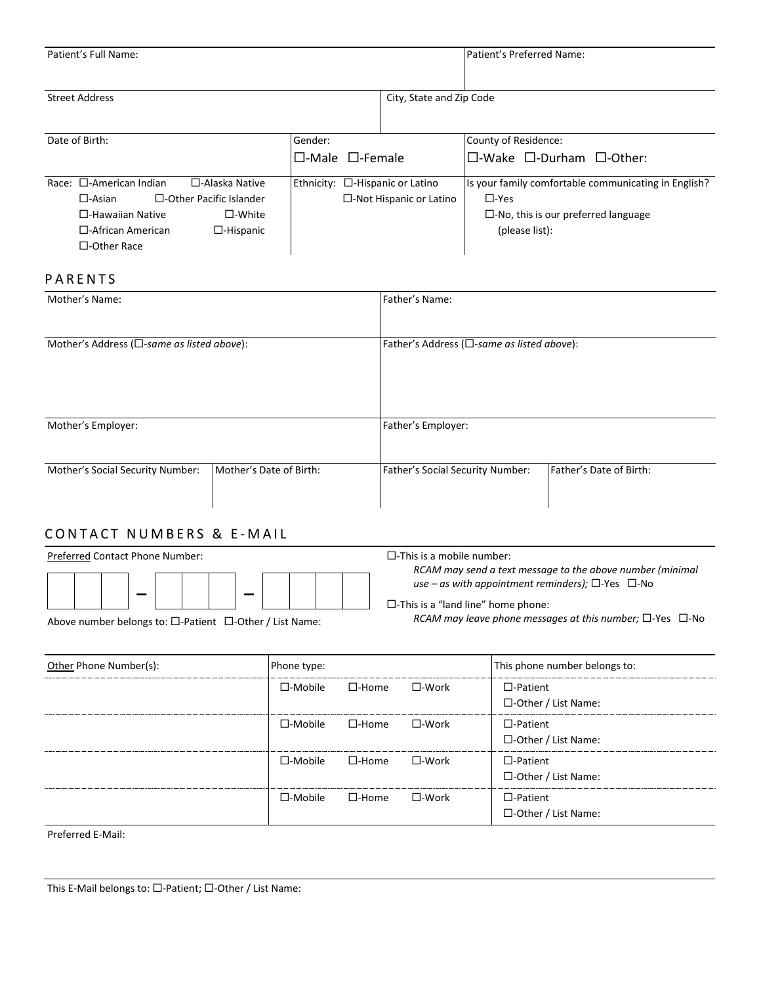| Patient's Full Name: |                          | Patient's Preferred Name: |
|----------------------|--------------------------|---------------------------|
|                      |                          |                           |
| Street Address       | City, State and Zip Code |                           |
|                      |                          |                           |

| Date of Birth:                   |                                | Gender: |                                       | County of Residence:                                 |
|----------------------------------|--------------------------------|---------|---------------------------------------|------------------------------------------------------|
|                                  |                                |         | $\Box$ -Male $\Box$ -Female           | $\Box$ -Wake $\Box$ -Durham $\Box$ -Other:           |
| Race: $\square$ -American Indian | $\Box$ -Alaska Native          |         | Ethnicity: $\Box$ -Hispanic or Latino | Is your family comfortable communicating in English? |
| $\Box$ -Asian                    | $\Box$ -Other Pacific Islander |         | $\Box$ -Not Hispanic or Latino        | $\square$ -Yes                                       |
| $\Box$ -Hawaiian Native          | $\square$ -White               |         |                                       | $\Box$ -No, this is our preferred language           |
| $\Box$ -African American         | $\Box$ -Hispanic               |         |                                       | (please list):                                       |
| $\Box$ -Other Race               |                                |         |                                       |                                                      |

## **PARENTS**

| Mother's Name:                                       |                         | Father's Name:                   |                                                      |  |  |
|------------------------------------------------------|-------------------------|----------------------------------|------------------------------------------------------|--|--|
|                                                      |                         |                                  |                                                      |  |  |
| Mother's Address ( $\square$ -same as listed above): |                         |                                  | Father's Address ( $\square$ -same as listed above): |  |  |
|                                                      |                         |                                  |                                                      |  |  |
|                                                      |                         |                                  |                                                      |  |  |
|                                                      |                         |                                  |                                                      |  |  |
| Mother's Employer:                                   |                         | Father's Employer:               |                                                      |  |  |
|                                                      |                         |                                  |                                                      |  |  |
| Mother's Social Security Number:                     | Mother's Date of Birth: | Father's Social Security Number: | Father's Date of Birth:                              |  |  |
|                                                      |                         |                                  |                                                      |  |  |
|                                                      |                         |                                  |                                                      |  |  |

# CONTACT NUMBERS & E-MAIL

| Preferred Contact Phone Number:                                           | $\square$ -This is a mobile number:                                                                                                                                          |
|---------------------------------------------------------------------------|------------------------------------------------------------------------------------------------------------------------------------------------------------------------------|
|                                                                           | RCAM may send a text message to the above number (minimal<br>use – as with appointment reminders); $\square$ -Yes $\square$ -No<br>$\Box$ -This is a "land line" home phone: |
| Above number belongs to: $\square$ -Patient $\square$ -Other / List Name: | RCAM may leave phone messages at this number; $\square$ -Yes $\square$ -No                                                                                                   |

Above number belongs to: □-Patient □-Other / List Name:

| Other Phone Number(s): | Phone type:       |                 |                 | This phone number belongs to:                 |
|------------------------|-------------------|-----------------|-----------------|-----------------------------------------------|
|                        | $\square$ -Mobile | $\square$ -Home | $\square$ -Work | $\Box$ -Patient<br>$\Box$ -Other / List Name: |
|                        | $\square$ -Mobile | $\square$ -Home | $\square$ -Work | $\Box$ -Patient<br>$\Box$ -Other / List Name: |
|                        | $\square$ -Mobile | $\square$ -Home | $\square$ -Work | $\Box$ -Patient<br>$\Box$ -Other / List Name: |
|                        | $\square$ -Mobile | $\square$ -Home | $\square$ -Work | $\Box$ -Patient<br>$\Box$ -Other / List Name: |

Preferred E-Mail: